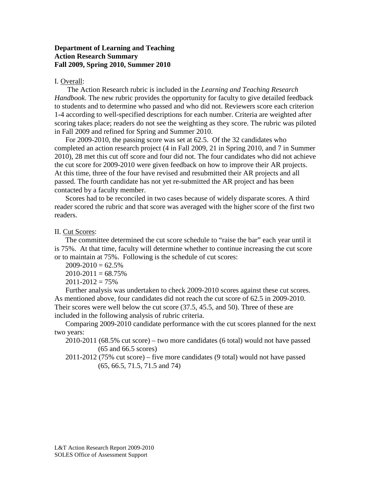# **Department of Learning and Teaching Action Research Summary Fall 2009, Spring 2010, Summer 2010**

## I. Overall:

The Action Research rubric is included in the *Learning and Teaching Research Handbook*. The new rubric provides the opportunity for faculty to give detailed feedback to students and to determine who passed and who did not. Reviewers score each criterion 1-4 according to well-specified descriptions for each number. Criteria are weighted after scoring takes place; readers do not see the weighting as they score. The rubric was piloted in Fall 2009 and refined for Spring and Summer 2010.

For 2009-2010, the passing score was set at 62.5. Of the 32 candidates who completed an action research project (4 in Fall 2009, 21 in Spring 2010, and 7 in Summer 2010), 28 met this cut off score and four did not. The four candidates who did not achieve the cut score for 2009-2010 were given feedback on how to improve their AR projects. At this time, three of the four have revised and resubmitted their AR projects and all passed. The fourth candidate has not yet re-submitted the AR project and has been contacted by a faculty member.

Scores had to be reconciled in two cases because of widely disparate scores. A third reader scored the rubric and that score was averaged with the higher score of the first two readers.

### II. Cut Scores:

The committee determined the cut score schedule to "raise the bar" each year until it is 75%. At that time, faculty will determine whether to continue increasing the cut score or to maintain at 75%. Following is the schedule of cut scores:

 $2009 - 2010 = 62.5\%$  $2010-2011 = 68.75%$  $2011 - 2012 = 75\%$ 

Further analysis was undertaken to check 2009-2010 scores against these cut scores. As mentioned above, four candidates did not reach the cut score of 62.5 in 2009-2010. Their scores were well below the cut score (37.5, 45.5, and 50). Three of these are included in the following analysis of rubric criteria.

Comparing 2009-2010 candidate performance with the cut scores planned for the next two years:

- 2010-2011 (68.5% cut score) two more candidates (6 total) would not have passed (65 and 66.5 scores)
- 2011-2012 (75% cut score) five more candidates (9 total) would not have passed (65, 66.5, 71.5, 71.5 and 74)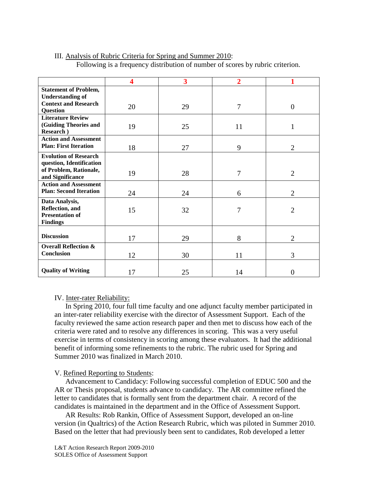|                                 | 4  | 3  | $\overline{2}$ |                |
|---------------------------------|----|----|----------------|----------------|
| <b>Statement of Problem,</b>    |    |    |                |                |
| <b>Understanding of</b>         |    |    |                |                |
| <b>Context and Research</b>     |    |    |                |                |
| <b>Question</b>                 | 20 | 29 | 7              | $\theta$       |
| <b>Literature Review</b>        |    |    |                |                |
| (Guiding Theories and           | 19 | 25 | 11             | 1              |
| Research )                      |    |    |                |                |
| <b>Action and Assessment</b>    |    |    |                |                |
| <b>Plan: First Iteration</b>    | 18 | 27 | 9              | $\overline{2}$ |
| <b>Evolution of Research</b>    |    |    |                |                |
| question, Identification        |    |    |                |                |
| of Problem, Rationale,          | 19 | 28 | 7              | $\overline{2}$ |
| and Significance                |    |    |                |                |
| <b>Action and Assessment</b>    |    |    |                |                |
| <b>Plan: Second Iteration</b>   | 24 | 24 | 6              | $\overline{2}$ |
| Data Analysis,                  |    |    |                |                |
| Reflection, and                 | 15 | 32 | 7              | $\overline{2}$ |
| <b>Presentation of</b>          |    |    |                |                |
| <b>Findings</b>                 |    |    |                |                |
|                                 |    |    |                |                |
| <b>Discussion</b>               | 17 | 29 | 8              | $\overline{2}$ |
| <b>Overall Reflection &amp;</b> |    |    |                |                |
| Conclusion                      | 12 | 30 | 11             | 3              |
|                                 |    |    |                |                |
| <b>Quality of Writing</b>       | 17 | 25 | 14             | 0              |

#### III. Analysis of Rubric Criteria for Spring and Summer 2010: Following is a frequency distribution of number of scores by rubric criterion.

#### IV. Inter-rater Reliability:

In Spring 2010, four full time faculty and one adjunct faculty member participated in an inter-rater reliability exercise with the director of Assessment Support. Each of the faculty reviewed the same action research paper and then met to discuss how each of the criteria were rated and to resolve any differences in scoring. This was a very useful exercise in terms of consistency in scoring among these evaluators. It had the additional benefit of informing some refinements to the rubric. The rubric used for Spring and Summer 2010 was finalized in March 2010.

#### V. Refined Reporting to Students:

Advancement to Candidacy: Following successful completion of EDUC 500 and the AR or Thesis proposal, students advance to candidacy. The AR committee refined the letter to candidates that is formally sent from the department chair. A record of the candidates is maintained in the department and in the Office of Assessment Support.

AR Results: Rob Rankin, Office of Assessment Support, developed an on-line version (in Qualtrics) of the Action Research Rubric, which was piloted in Summer 2010. Based on the letter that had previously been sent to candidates, Rob developed a letter